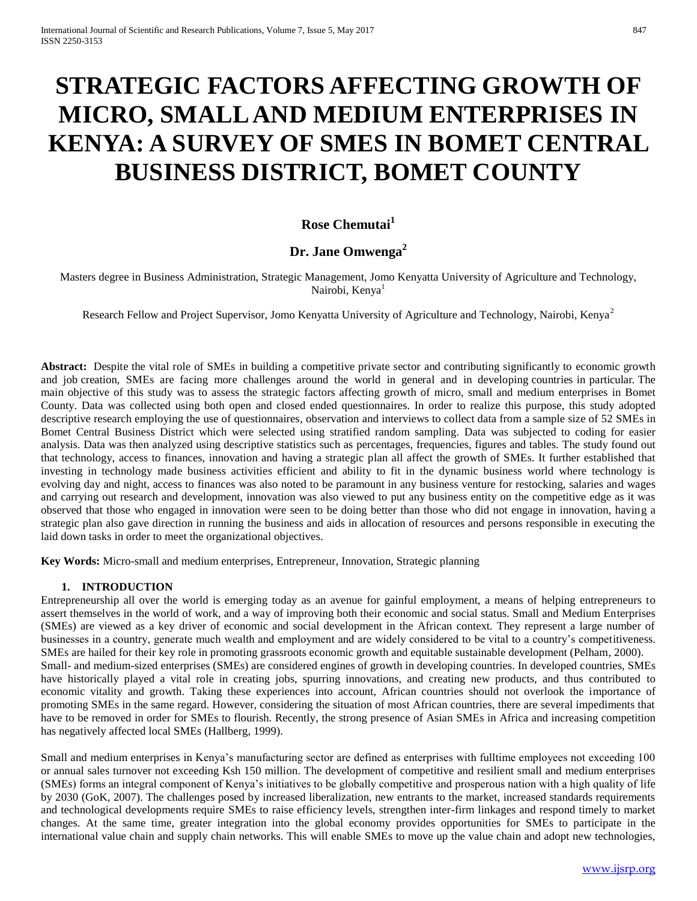# **STRATEGIC FACTORS AFFECTING GROWTH OF MICRO, SMALL AND MEDIUM ENTERPRISES IN KENYA: A SURVEY OF SMES IN BOMET CENTRAL BUSINESS DISTRICT, BOMET COUNTY**

# **Rose Chemutai<sup>1</sup>**

## **Dr. Jane Omwenga<sup>2</sup>**

Masters degree in Business Administration, Strategic Management, Jomo Kenyatta University of Agriculture and Technology, Nairobi, Kenya<sup>1</sup>

Research Fellow and Project Supervisor, Jomo Kenyatta University of Agriculture and Technology, Nairobi, Kenya<sup>2</sup>

Abstract: Despite the vital role of SMEs in building a competitive private sector and contributing significantly to economic growth and job creation, SMEs are facing more challenges around the world in general and in developing countries in particular. The main objective of this study was to assess the strategic factors affecting growth of micro, small and medium enterprises in Bomet County. Data was collected using both open and closed ended questionnaires. In order to realize this purpose, this study adopted descriptive research employing the use of questionnaires, observation and interviews to collect data from a sample size of 52 SMEs in Bomet Central Business District which were selected using stratified random sampling. Data was subjected to coding for easier analysis. Data was then analyzed using descriptive statistics such as percentages, frequencies, figures and tables. The study found out that technology, access to finances, innovation and having a strategic plan all affect the growth of SMEs. It further established that investing in technology made business activities efficient and ability to fit in the dynamic business world where technology is evolving day and night, access to finances was also noted to be paramount in any business venture for restocking, salaries and wages and carrying out research and development, innovation was also viewed to put any business entity on the competitive edge as it was observed that those who engaged in innovation were seen to be doing better than those who did not engage in innovation, having a strategic plan also gave direction in running the business and aids in allocation of resources and persons responsible in executing the laid down tasks in order to meet the organizational objectives.

**Key Words:** Micro-small and medium enterprises, Entrepreneur, Innovation, Strategic planning

## **1. INTRODUCTION**

Entrepreneurship all over the world is emerging today as an avenue for gainful employment, a means of helping entrepreneurs to assert themselves in the world of work, and a way of improving both their economic and social status. Small and Medium Enterprises (SMEs) are viewed as a key driver of economic and social development in the African context. They represent a large number of businesses in a country, generate much wealth and employment and are widely considered to be vital to a country's competitiveness. SMEs are hailed for their key role in promoting grassroots economic growth and equitable sustainable development (Pelham, 2000). Small- and medium-sized enterprises (SMEs) are considered engines of growth in developing countries. In developed countries, SMEs have historically played a vital role in creating jobs, spurring innovations, and creating new products, and thus contributed to economic vitality and growth. Taking these experiences into account, African countries should not overlook the importance of promoting SMEs in the same regard. However, considering the situation of most African countries, there are several impediments that have to be removed in order for SMEs to flourish. Recently, the strong presence of Asian SMEs in Africa and increasing competition has negatively affected local SMEs (Hallberg, 1999).

Small and medium enterprises in Kenya's manufacturing sector are defined as enterprises with fulltime employees not exceeding 100 or annual sales turnover not exceeding Ksh 150 million. The development of competitive and resilient small and medium enterprises (SMEs) forms an integral component of Kenya's initiatives to be globally competitive and prosperous nation with a high quality of life by 2030 (GoK, 2007). The challenges posed by increased liberalization, new entrants to the market, increased standards requirements and technological developments require SMEs to raise efficiency levels, strengthen inter-firm linkages and respond timely to market changes. At the same time, greater integration into the global economy provides opportunities for SMEs to participate in the international value chain and supply chain networks. This will enable SMEs to move up the value chain and adopt new technologies,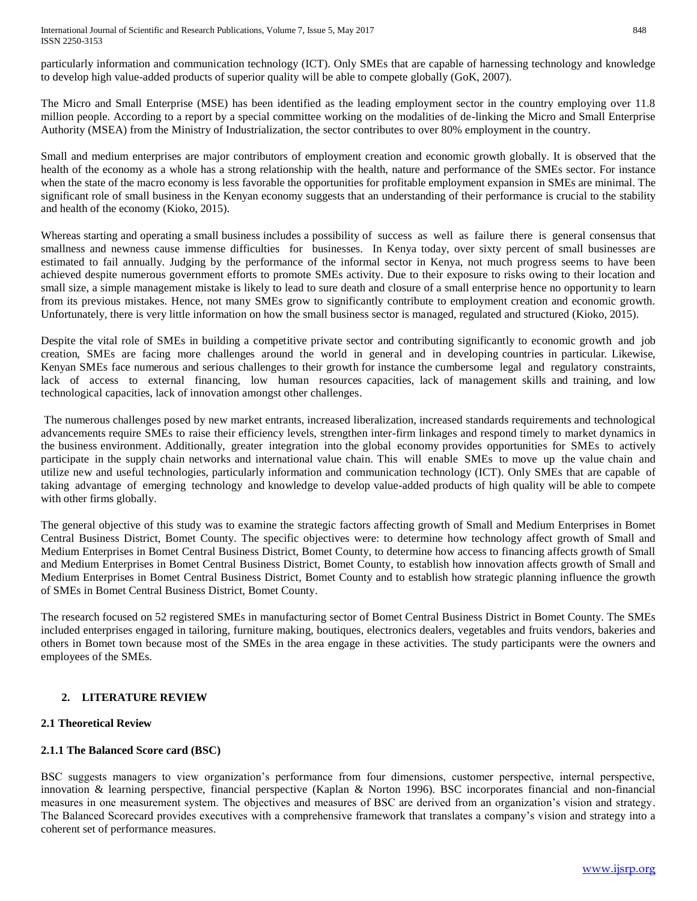#### International Journal of Scientific and Research Publications, Volume 7, Issue 5, May 2017 848 ISSN 2250-3153

particularly information and communication technology (ICT). Only SMEs that are capable of harnessing technology and knowledge to develop high value-added products of superior quality will be able to compete globally (GoK, 2007).

The Micro and Small Enterprise (MSE) has been identified as the leading employment sector in the country employing over 11.8 million people. According to a report by a special committee working on the modalities of de-linking the Micro and Small Enterprise Authority (MSEA) from the Ministry of Industrialization, the sector contributes to over 80% employment in the country.

Small and medium enterprises are major contributors of employment creation and economic growth globally. It is observed that the health of the economy as a whole has a strong relationship with the health, nature and performance of the SMEs sector. For instance when the state of the macro economy is less favorable the opportunities for profitable employment expansion in SMEs are minimal. The significant role of small business in the Kenyan economy suggests that an understanding of their performance is crucial to the stability and health of the economy (Kioko, 2015).

Whereas starting and operating a small business includes a possibility of success as well as failure there is general consensus that smallness and newness cause immense difficulties for businesses. In Kenya today, over sixty percent of small businesses are estimated to fail annually. Judging by the performance of the informal sector in Kenya, not much progress seems to have been achieved despite numerous government efforts to promote SMEs activity. Due to their exposure to risks owing to their location and small size, a simple management mistake is likely to lead to sure death and closure of a small enterprise hence no opportunity to learn from its previous mistakes. Hence, not many SMEs grow to significantly contribute to employment creation and economic growth. Unfortunately, there is very little information on how the small business sector is managed, regulated and structured (Kioko, 2015).

Despite the vital role of SMEs in building a competitive private sector and contributing significantly to economic growth and job creation, SMEs are facing more challenges around the world in general and in developing countries in particular. Likewise, Kenyan SMEs face numerous and serious challenges to their growth for instance the cumbersome legal and regulatory constraints, lack of access to external financing, low human resources capacities, lack of management skills and training, and low technological capacities, lack of innovation amongst other challenges.

The numerous challenges posed by new market entrants, increased liberalization, increased standards requirements and technological advancements require SMEs to raise their efficiency levels, strengthen inter-firm linkages and respond timely to market dynamics in the business environment. Additionally, greater integration into the global economy provides opportunities for SMEs to actively participate in the supply chain networks and international value chain. This will enable SMEs to move up the value chain and utilize new and useful technologies, particularly information and communication technology (ICT). Only SMEs that are capable of taking advantage of emerging technology and knowledge to develop value-added products of high quality will be able to compete with other firms globally.

The general objective of this study was to examine the strategic factors affecting growth of Small and Medium Enterprises in Bomet Central Business District, Bomet County. The specific objectives were: to determine how technology affect growth of Small and Medium Enterprises in Bomet Central Business District, Bomet County, to determine how access to financing affects growth of Small and Medium Enterprises in Bomet Central Business District, Bomet County, to establish how innovation affects growth of Small and Medium Enterprises in Bomet Central Business District, Bomet County and to establish how strategic planning influence the growth of SMEs in Bomet Central Business District, Bomet County.

The research focused on 52 registered SMEs in manufacturing sector of Bomet Central Business District in Bomet County. The SMEs included enterprises engaged in tailoring, furniture making, boutiques, electronics dealers, vegetables and fruits vendors, bakeries and others in Bomet town because most of the SMEs in the area engage in these activities. The study participants were the owners and employees of the SMEs.

## **2. LITERATURE REVIEW**

## **2.1 Theoretical Review**

## **2.1.1 The Balanced Score card (BSC)**

BSC suggests managers to view organization's performance from four dimensions, customer perspective, internal perspective, innovation & learning perspective, financial perspective (Kaplan & Norton 1996). BSC incorporates financial and non-financial measures in one measurement system. The objectives and measures of BSC are derived from an organization's vision and strategy. The Balanced Scorecard provides executives with a comprehensive framework that translates a company's vision and strategy into a coherent set of performance measures.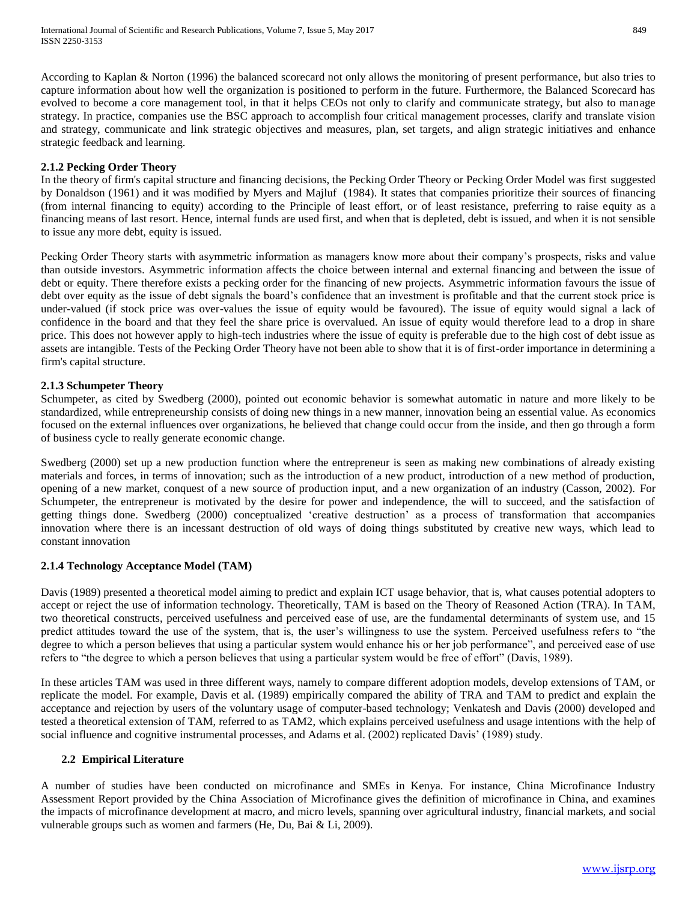According to Kaplan & Norton (1996) the balanced scorecard not only allows the monitoring of present performance, but also tries to capture information about how well the organization is positioned to perform in the future. Furthermore, the Balanced Scorecard has evolved to become a core management tool, in that it helps CEOs not only to clarify and communicate strategy, but also to manage strategy. In practice, companies use the BSC approach to accomplish four critical management processes, clarify and translate vision and strategy, communicate and link strategic objectives and measures, plan, set targets, and align strategic initiatives and enhance strategic feedback and learning.

#### **2.1.2 Pecking Order Theory**

In the theory of firm's capital structure and financing decisions, the Pecking Order Theory or Pecking Order Model was first suggested by Donaldson (1961) and it was modified by Myers and Majluf (1984). It states that companies prioritize their sources of financing (from internal financing to equity) according to the Principle of least effort, or of least resistance, preferring to raise equity as a financing means of last resort. Hence, internal funds are used first, and when that is depleted, debt is issued, and when it is not sensible to issue any more debt, equity is issued.

Pecking Order Theory starts with asymmetric information as managers know more about their company's prospects, risks and value than outside investors. Asymmetric information affects the choice between internal and external financing and between the issue of debt or equity. There therefore exists a pecking order for the financing of new projects. Asymmetric information favours the issue of debt over equity as the issue of debt signals the board's confidence that an investment is profitable and that the current stock price is under-valued (if stock price was over-values the issue of equity would be favoured). The issue of equity would signal a lack of confidence in the board and that they feel the share price is overvalued. An issue of equity would therefore lead to a drop in share price. This does not however apply to high-tech industries where the issue of equity is preferable due to the high cost of debt issue as assets are intangible. Tests of the Pecking Order Theory have not been able to show that it is of first-order importance in determining a firm's capital structure.

#### **2.1.3 Schumpeter Theory**

Schumpeter, as cited by Swedberg (2000), pointed out economic behavior is somewhat automatic in nature and more likely to be standardized, while entrepreneurship consists of doing new things in a new manner, innovation being an essential value. As economics focused on the external influences over organizations, he believed that change could occur from the inside, and then go through a form of business cycle to really generate economic change.

Swedberg (2000) set up a new production function where the entrepreneur is seen as making new combinations of already existing materials and forces, in terms of innovation; such as the introduction of a new product, introduction of a new method of production, opening of a new market, conquest of a new source of production input, and a new organization of an industry (Casson, 2002). For Schumpeter, the entrepreneur is motivated by the desire for power and independence, the will to succeed, and the satisfaction of getting things done. Swedberg (2000) conceptualized 'creative destruction' as a process of transformation that accompanies innovation where there is an incessant destruction of old ways of doing things substituted by creative new ways, which lead to constant innovation

#### **2.1.4 Technology Acceptance Model (TAM)**

Davis (1989) presented a theoretical model aiming to predict and explain ICT usage behavior, that is, what causes potential adopters to accept or reject the use of information technology. Theoretically, TAM is based on the Theory of Reasoned Action (TRA). In TAM, two theoretical constructs, perceived usefulness and perceived ease of use, are the fundamental determinants of system use, and 15 predict attitudes toward the use of the system, that is, the user's willingness to use the system. Perceived usefulness refers to "the degree to which a person believes that using a particular system would enhance his or her job performance", and perceived ease of use refers to "the degree to which a person believes that using a particular system would be free of effort" (Davis, 1989).

In these articles TAM was used in three different ways, namely to compare different adoption models, develop extensions of TAM, or replicate the model. For example, Davis et al. (1989) empirically compared the ability of TRA and TAM to predict and explain the acceptance and rejection by users of the voluntary usage of computer-based technology; Venkatesh and Davis (2000) developed and tested a theoretical extension of TAM, referred to as TAM2, which explains perceived usefulness and usage intentions with the help of social influence and cognitive instrumental processes, and Adams et al. (2002) replicated Davis' (1989) study.

#### **2.2 Empirical Literature**

A number of studies have been conducted on microfinance and SMEs in Kenya. For instance, China Microfinance Industry Assessment Report provided by the China Association of Microfinance gives the definition of microfinance in China, and examines the impacts of microfinance development at macro, and micro levels, spanning over agricultural industry, financial markets, and social vulnerable groups such as women and farmers (He, Du, Bai & Li, 2009).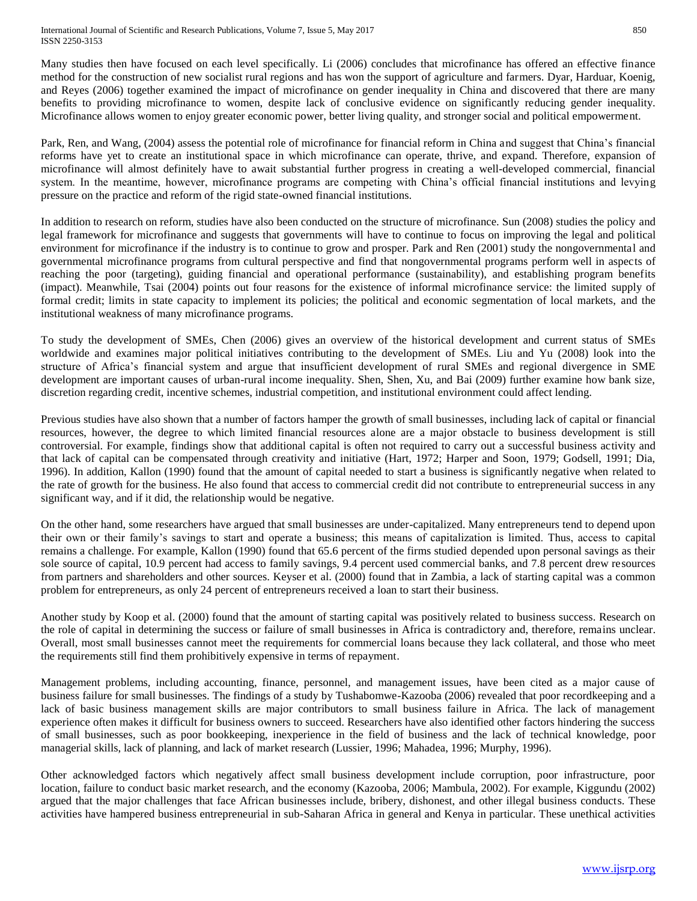Many studies then have focused on each level specifically. Li (2006) concludes that microfinance has offered an effective finance method for the construction of new socialist rural regions and has won the support of agriculture and farmers. Dyar, Harduar, Koenig, and Reyes (2006) together examined the impact of microfinance on gender inequality in China and discovered that there are many benefits to providing microfinance to women, despite lack of conclusive evidence on significantly reducing gender inequality. Microfinance allows women to enjoy greater economic power, better living quality, and stronger social and political empowerment.

Park, Ren, and Wang, (2004) assess the potential role of microfinance for financial reform in China and suggest that China's financial reforms have yet to create an institutional space in which microfinance can operate, thrive, and expand. Therefore, expansion of microfinance will almost definitely have to await substantial further progress in creating a well-developed commercial, financial system. In the meantime, however, microfinance programs are competing with China's official financial institutions and levying pressure on the practice and reform of the rigid state-owned financial institutions.

In addition to research on reform, studies have also been conducted on the structure of microfinance. Sun (2008) studies the policy and legal framework for microfinance and suggests that governments will have to continue to focus on improving the legal and political environment for microfinance if the industry is to continue to grow and prosper. Park and Ren (2001) study the nongovernmental and governmental microfinance programs from cultural perspective and find that nongovernmental programs perform well in aspects of reaching the poor (targeting), guiding financial and operational performance (sustainability), and establishing program benefits (impact). Meanwhile, Tsai (2004) points out four reasons for the existence of informal microfinance service: the limited supply of formal credit; limits in state capacity to implement its policies; the political and economic segmentation of local markets, and the institutional weakness of many microfinance programs.

To study the development of SMEs, Chen (2006) gives an overview of the historical development and current status of SMEs worldwide and examines major political initiatives contributing to the development of SMEs. Liu and Yu (2008) look into the structure of Africa's financial system and argue that insufficient development of rural SMEs and regional divergence in SME development are important causes of urban-rural income inequality. Shen, Shen, Xu, and Bai (2009) further examine how bank size, discretion regarding credit, incentive schemes, industrial competition, and institutional environment could affect lending.

Previous studies have also shown that a number of factors hamper the growth of small businesses, including lack of capital or financial resources, however, the degree to which limited financial resources alone are a major obstacle to business development is still controversial. For example, findings show that additional capital is often not required to carry out a successful business activity and that lack of capital can be compensated through creativity and initiative (Hart, 1972; Harper and Soon, 1979; Godsell, 1991; Dia, 1996). In addition, Kallon (1990) found that the amount of capital needed to start a business is significantly negative when related to the rate of growth for the business. He also found that access to commercial credit did not contribute to entrepreneurial success in any significant way, and if it did, the relationship would be negative.

On the other hand, some researchers have argued that small businesses are under-capitalized. Many entrepreneurs tend to depend upon their own or their family's savings to start and operate a business; this means of capitalization is limited. Thus, access to capital remains a challenge. For example, Kallon (1990) found that 65.6 percent of the firms studied depended upon personal savings as their sole source of capital, 10.9 percent had access to family savings, 9.4 percent used commercial banks, and 7.8 percent drew resources from partners and shareholders and other sources. Keyser et al. (2000) found that in Zambia, a lack of starting capital was a common problem for entrepreneurs, as only 24 percent of entrepreneurs received a loan to start their business.

Another study by Koop et al. (2000) found that the amount of starting capital was positively related to business success. Research on the role of capital in determining the success or failure of small businesses in Africa is contradictory and, therefore, remains unclear. Overall, most small businesses cannot meet the requirements for commercial loans because they lack collateral, and those who meet the requirements still find them prohibitively expensive in terms of repayment.

Management problems, including accounting, finance, personnel, and management issues, have been cited as a major cause of business failure for small businesses. The findings of a study by Tushabomwe-Kazooba (2006) revealed that poor recordkeeping and a lack of basic business management skills are major contributors to small business failure in Africa. The lack of management experience often makes it difficult for business owners to succeed. Researchers have also identified other factors hindering the success of small businesses, such as poor bookkeeping, inexperience in the field of business and the lack of technical knowledge, poor managerial skills, lack of planning, and lack of market research (Lussier, 1996; Mahadea, 1996; Murphy, 1996).

Other acknowledged factors which negatively affect small business development include corruption, poor infrastructure, poor location, failure to conduct basic market research, and the economy (Kazooba, 2006; Mambula, 2002). For example, Kiggundu (2002) argued that the major challenges that face African businesses include, bribery, dishonest, and other illegal business conducts. These activities have hampered business entrepreneurial in sub-Saharan Africa in general and Kenya in particular. These unethical activities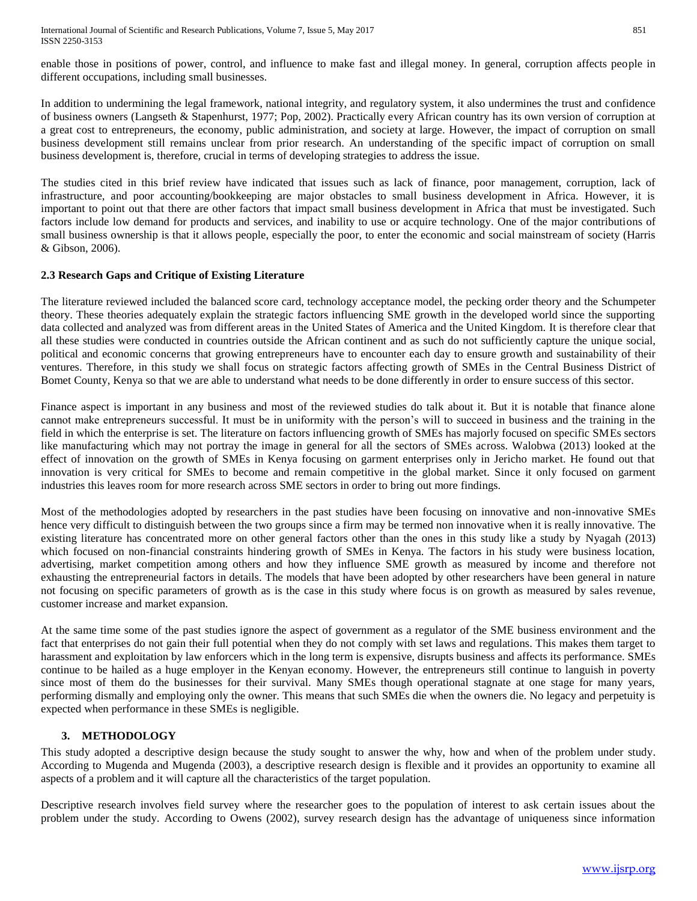enable those in positions of power, control, and influence to make fast and illegal money. In general, corruption affects people in different occupations, including small businesses.

In addition to undermining the legal framework, national integrity, and regulatory system, it also undermines the trust and confidence of business owners (Langseth & Stapenhurst, 1977; Pop, 2002). Practically every African country has its own version of corruption at a great cost to entrepreneurs, the economy, public administration, and society at large. However, the impact of corruption on small business development still remains unclear from prior research. An understanding of the specific impact of corruption on small business development is, therefore, crucial in terms of developing strategies to address the issue.

The studies cited in this brief review have indicated that issues such as lack of finance, poor management, corruption, lack of infrastructure, and poor accounting/bookkeeping are major obstacles to small business development in Africa. However, it is important to point out that there are other factors that impact small business development in Africa that must be investigated. Such factors include low demand for products and services, and inability to use or acquire technology. One of the major contributions of small business ownership is that it allows people, especially the poor, to enter the economic and social mainstream of society (Harris & Gibson, 2006).

### **2.3 Research Gaps and Critique of Existing Literature**

The literature reviewed included the balanced score card, technology acceptance model, the pecking order theory and the Schumpeter theory. These theories adequately explain the strategic factors influencing SME growth in the developed world since the supporting data collected and analyzed was from different areas in the United States of America and the United Kingdom. It is therefore clear that all these studies were conducted in countries outside the African continent and as such do not sufficiently capture the unique social, political and economic concerns that growing entrepreneurs have to encounter each day to ensure growth and sustainability of their ventures. Therefore, in this study we shall focus on strategic factors affecting growth of SMEs in the Central Business District of Bomet County, Kenya so that we are able to understand what needs to be done differently in order to ensure success of this sector.

Finance aspect is important in any business and most of the reviewed studies do talk about it. But it is notable that finance alone cannot make entrepreneurs successful. It must be in uniformity with the person's will to succeed in business and the training in the field in which the enterprise is set. The literature on factors influencing growth of SMEs has majorly focused on specific SMEs sectors like manufacturing which may not portray the image in general for all the sectors of SMEs across. Walobwa (2013) looked at the effect of innovation on the growth of SMEs in Kenya focusing on garment enterprises only in Jericho market. He found out that innovation is very critical for SMEs to become and remain competitive in the global market. Since it only focused on garment industries this leaves room for more research across SME sectors in order to bring out more findings.

Most of the methodologies adopted by researchers in the past studies have been focusing on innovative and non-innovative SMEs hence very difficult to distinguish between the two groups since a firm may be termed non innovative when it is really innovative. The existing literature has concentrated more on other general factors other than the ones in this study like a study by Nyagah (2013) which focused on non-financial constraints hindering growth of SMEs in Kenya. The factors in his study were business location, advertising, market competition among others and how they influence SME growth as measured by income and therefore not exhausting the entrepreneurial factors in details. The models that have been adopted by other researchers have been general in nature not focusing on specific parameters of growth as is the case in this study where focus is on growth as measured by sales revenue, customer increase and market expansion.

At the same time some of the past studies ignore the aspect of government as a regulator of the SME business environment and the fact that enterprises do not gain their full potential when they do not comply with set laws and regulations. This makes them target to harassment and exploitation by law enforcers which in the long term is expensive, disrupts business and affects its performance. SMEs continue to be hailed as a huge employer in the Kenyan economy. However, the entrepreneurs still continue to languish in poverty since most of them do the businesses for their survival. Many SMEs though operational stagnate at one stage for many years, performing dismally and employing only the owner. This means that such SMEs die when the owners die. No legacy and perpetuity is expected when performance in these SMEs is negligible.

### **3. METHODOLOGY**

This study adopted a descriptive design because the study sought to answer the why, how and when of the problem under study. According to Mugenda and Mugenda (2003), a descriptive research design is flexible and it provides an opportunity to examine all aspects of a problem and it will capture all the characteristics of the target population.

Descriptive research involves field survey where the researcher goes to the population of interest to ask certain issues about the problem under the study. According to Owens (2002), survey research design has the advantage of uniqueness since information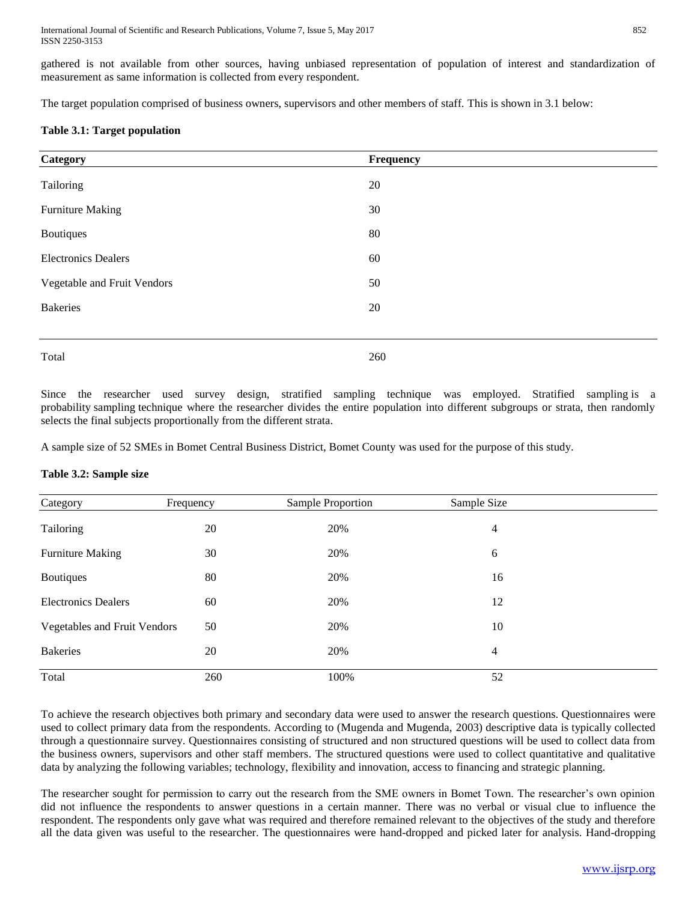gathered is not available from other sources, having unbiased representation of population of interest and standardization of measurement as same information is collected from every respondent.

The target population comprised of business owners, supervisors and other members of staff. This is shown in 3.1 below:

#### **Table 3.1: Target population**

| Category                    | Frequency |
|-----------------------------|-----------|
| Tailoring                   | 20        |
| <b>Furniture Making</b>     | 30        |
| <b>Boutiques</b>            | 80        |
| <b>Electronics Dealers</b>  | 60        |
| Vegetable and Fruit Vendors | 50        |
| <b>Bakeries</b>             | 20        |
|                             |           |
| Total                       | 260       |

Since the researcher used survey design, stratified sampling technique was employed. Stratified sampling is a probability sampling technique where the researcher divides the entire population into different subgroups or strata, then randomly selects the final subjects proportionally from the different strata.

A sample size of 52 SMEs in Bomet Central Business District, Bomet County was used for the purpose of this study.

#### **Table 3.2: Sample size**

| Category                     | Frequency | Sample Proportion | Sample Size |  |
|------------------------------|-----------|-------------------|-------------|--|
| Tailoring                    | 20        | 20%               | 4           |  |
| <b>Furniture Making</b>      | 30        | 20%               | 6           |  |
| <b>Boutiques</b>             | 80        | 20%               | 16          |  |
| <b>Electronics Dealers</b>   | 60        | 20%               | 12          |  |
| Vegetables and Fruit Vendors | 50        | 20%               | 10          |  |
| <b>Bakeries</b>              | 20        | 20%               | 4           |  |
| Total                        | 260       | 100%              | 52          |  |

To achieve the research objectives both primary and secondary data were used to answer the research questions. Questionnaires were used to collect primary data from the respondents. According to (Mugenda and Mugenda, 2003) descriptive data is typically collected through a questionnaire survey. Questionnaires consisting of structured and non structured questions will be used to collect data from the business owners, supervisors and other staff members. The structured questions were used to collect quantitative and qualitative data by analyzing the following variables; technology, flexibility and innovation, access to financing and strategic planning.

The researcher sought for permission to carry out the research from the SME owners in Bomet Town. The researcher's own opinion did not influence the respondents to answer questions in a certain manner. There was no verbal or visual clue to influence the respondent. The respondents only gave what was required and therefore remained relevant to the objectives of the study and therefore all the data given was useful to the researcher. The questionnaires were hand-dropped and picked later for analysis. Hand-dropping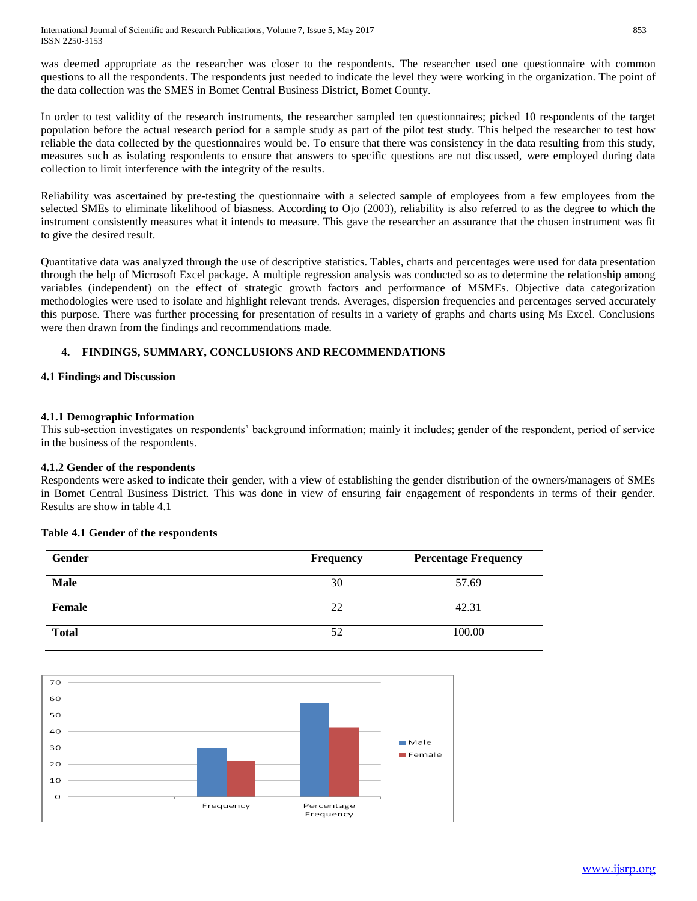was deemed appropriate as the researcher was closer to the respondents. The researcher used one questionnaire with common questions to all the respondents. The respondents just needed to indicate the level they were working in the organization. The point of the data collection was the SMES in Bomet Central Business District, Bomet County.

In order to test validity of the research instruments, the researcher sampled ten questionnaires; picked 10 respondents of the target population before the actual research period for a sample study as part of the pilot test study. This helped the researcher to test how reliable the data collected by the questionnaires would be. To ensure that there was consistency in the data resulting from this study, measures such as isolating respondents to ensure that answers to specific questions are not discussed, were employed during data collection to limit interference with the integrity of the results.

Reliability was ascertained by pre-testing the questionnaire with a selected sample of employees from a few employees from the selected SMEs to eliminate likelihood of biasness. According to Ojo (2003), reliability is also referred to as the degree to which the instrument consistently measures what it intends to measure. This gave the researcher an assurance that the chosen instrument was fit to give the desired result.

Quantitative data was analyzed through the use of descriptive statistics. Tables, charts and percentages were used for data presentation through the help of Microsoft Excel package. A multiple regression analysis was conducted so as to determine the relationship among variables (independent) on the effect of strategic growth factors and performance of MSMEs. Objective data categorization methodologies were used to isolate and highlight relevant trends. Averages, dispersion frequencies and percentages served accurately this purpose. There was further processing for presentation of results in a variety of graphs and charts using Ms Excel. Conclusions were then drawn from the findings and recommendations made.

## **4. FINDINGS, SUMMARY, CONCLUSIONS AND RECOMMENDATIONS**

### **4.1 Findings and Discussion**

#### **4.1.1 Demographic Information**

This sub-section investigates on respondents' background information; mainly it includes; gender of the respondent, period of service in the business of the respondents.

#### **4.1.2 Gender of the respondents**

Respondents were asked to indicate their gender, with a view of establishing the gender distribution of the owners/managers of SMEs in Bomet Central Business District. This was done in view of ensuring fair engagement of respondents in terms of their gender. Results are show in table 4.1

#### **Table 4.1 Gender of the respondents**



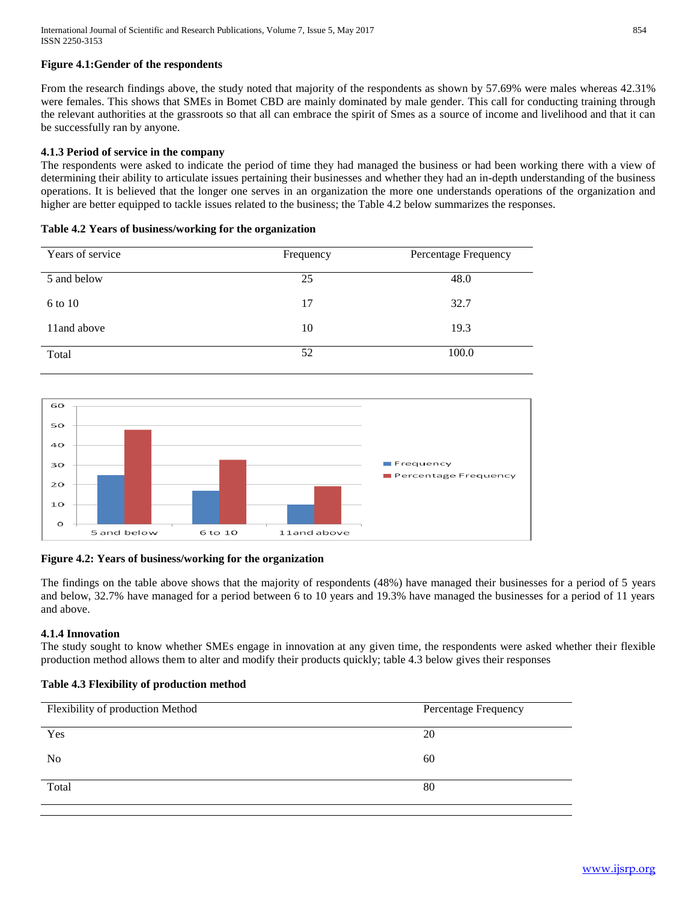#### **Figure 4.1:Gender of the respondents**

From the research findings above, the study noted that majority of the respondents as shown by 57.69% were males whereas 42.31% were females. This shows that SMEs in Bomet CBD are mainly dominated by male gender. This call for conducting training through the relevant authorities at the grassroots so that all can embrace the spirit of Smes as a source of income and livelihood and that it can be successfully ran by anyone.

#### **4.1.3 Period of service in the company**

The respondents were asked to indicate the period of time they had managed the business or had been working there with a view of determining their ability to articulate issues pertaining their businesses and whether they had an in-depth understanding of the business operations. It is believed that the longer one serves in an organization the more one understands operations of the organization and higher are better equipped to tackle issues related to the business; the Table 4.2 below summarizes the responses.

#### **Table 4.2 Years of business/working for the organization**

| Years of service | Frequency | Percentage Frequency |
|------------------|-----------|----------------------|
| 5 and below      | 25        | 48.0                 |
| 6 to 10          | 17        | 32.7                 |
| 11 and above     | 10        | 19.3                 |
| Total            | 52        | 100.0                |



### **Figure 4.2: Years of business/working for the organization**

The findings on the table above shows that the majority of respondents (48%) have managed their businesses for a period of 5 years and below, 32.7% have managed for a period between 6 to 10 years and 19.3% have managed the businesses for a period of 11 years and above.

#### **4.1.4 Innovation**

The study sought to know whether SMEs engage in innovation at any given time, the respondents were asked whether their flexible production method allows them to alter and modify their products quickly; table 4.3 below gives their responses

#### **Table 4.3 Flexibility of production method**

| Flexibility of production Method | Percentage Frequency |
|----------------------------------|----------------------|
| Yes                              | 20                   |
| N <sub>0</sub>                   | 60                   |
| Total                            | 80                   |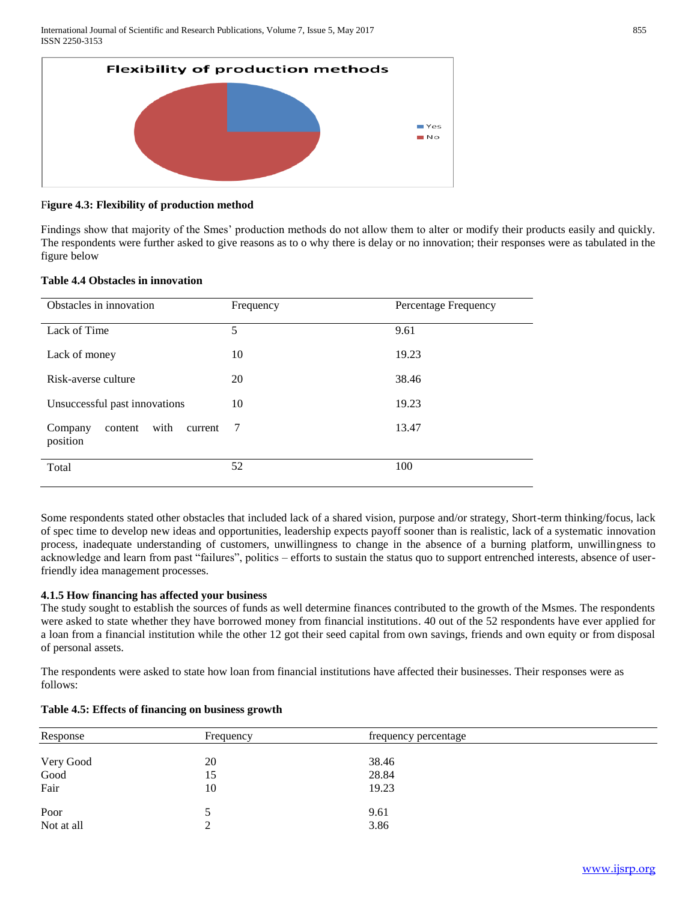

#### F**igure 4.3: Flexibility of production method**

Findings show that majority of the Smes' production methods do not allow them to alter or modify their products easily and quickly. The respondents were further asked to give reasons as to o why there is delay or no innovation; their responses were as tabulated in the figure below

#### **Table 4.4 Obstacles in innovation**

| Obstacles in innovation                           | Frequency | Percentage Frequency |
|---------------------------------------------------|-----------|----------------------|
| Lack of Time                                      | 5         | 9.61                 |
| Lack of money                                     | 10        | 19.23                |
| Risk-averse culture                               | 20        | 38.46                |
| Unsuccessful past innovations                     | 10        | 19.23                |
| with<br>Company<br>content<br>current<br>position | 7         | 13.47                |
| Total                                             | 52        | 100                  |

Some respondents stated other obstacles that included lack of a shared vision, purpose and/or strategy, Short-term thinking/focus, lack of spec time to develop new ideas and opportunities, leadership expects payoff sooner than is realistic, lack of a systematic innovation process, inadequate understanding of customers, unwillingness to change in the absence of a burning platform, unwillingness to acknowledge and learn from past "failures", politics – efforts to sustain the status quo to support entrenched interests, absence of userfriendly idea management processes.

#### **4.1.5 How financing has affected your business**

The study sought to establish the sources of funds as well determine finances contributed to the growth of the Msmes. The respondents were asked to state whether they have borrowed money from financial institutions. 40 out of the 52 respondents have ever applied for a loan from a financial institution while the other 12 got their seed capital from own savings, friends and own equity or from disposal of personal assets.

The respondents were asked to state how loan from financial institutions have affected their businesses. Their responses were as follows:

| Response   | Frequency | frequency percentage |
|------------|-----------|----------------------|
|            |           |                      |
| Very Good  | 20        | 38.46                |
| Good       | 15        | 28.84                |
| Fair       | 10        | 19.23                |
| Poor       |           | 9.61                 |
| Not at all |           | 3.86                 |

#### **Table 4.5: Effects of financing on business growth**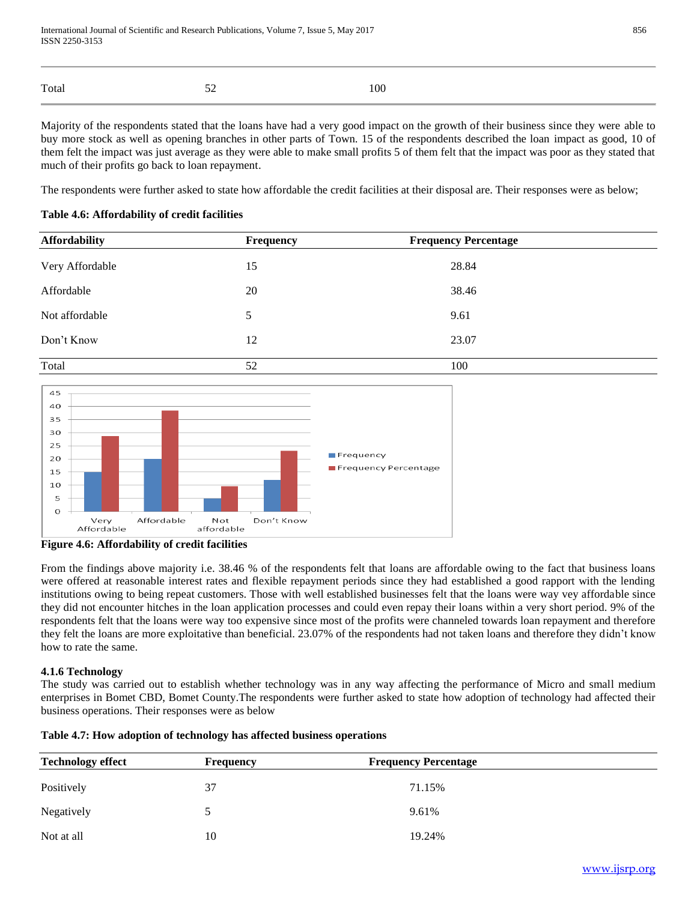|       | $\epsilon$               |     |
|-------|--------------------------|-----|
| Total | $\overline{\phantom{a}}$ | 100 |

Majority of the respondents stated that the loans have had a very good impact on the growth of their business since they were able to buy more stock as well as opening branches in other parts of Town. 15 of the respondents described the loan impact as good, 10 of them felt the impact was just average as they were able to make small profits 5 of them felt that the impact was poor as they stated that much of their profits go back to loan repayment.

The respondents were further asked to state how affordable the credit facilities at their disposal are. Their responses were as below;

| <b>Affordability</b> | Frequency | <b>Frequency Percentage</b> |  |
|----------------------|-----------|-----------------------------|--|
| Very Affordable      | 15        | 28.84                       |  |
| Affordable           | 20        | 38.46                       |  |
| Not affordable       | 5         | 9.61                        |  |
| Don't Know           | 12        | 23.07                       |  |
| Total                | 52        | 100                         |  |

## **Table 4.6: Affordability of credit facilities**



**Figure 4.6: Affordability of credit facilities**

From the findings above majority i.e. 38.46 % of the respondents felt that loans are affordable owing to the fact that business loans were offered at reasonable interest rates and flexible repayment periods since they had established a good rapport with the lending institutions owing to being repeat customers. Those with well established businesses felt that the loans were way vey affordable since they did not encounter hitches in the loan application processes and could even repay their loans within a very short period. 9% of the respondents felt that the loans were way too expensive since most of the profits were channeled towards loan repayment and therefore they felt the loans are more exploitative than beneficial. 23.07% of the respondents had not taken loans and therefore they didn't know how to rate the same.

### **4.1.6 Technology**

The study was carried out to establish whether technology was in any way affecting the performance of Micro and small medium enterprises in Bomet CBD, Bomet County.The respondents were further asked to state how adoption of technology had affected their business operations. Their responses were as below

|  | Table 4.7: How adoption of technology has affected business operations |  |
|--|------------------------------------------------------------------------|--|
|--|------------------------------------------------------------------------|--|

| <b>Technology effect</b> | <b>Frequency</b> | <b>Frequency Percentage</b> |  |
|--------------------------|------------------|-----------------------------|--|
| Positively               | 37               | 71.15%                      |  |
| Negatively               |                  | 9.61%                       |  |
| Not at all               | 10               | 19.24%                      |  |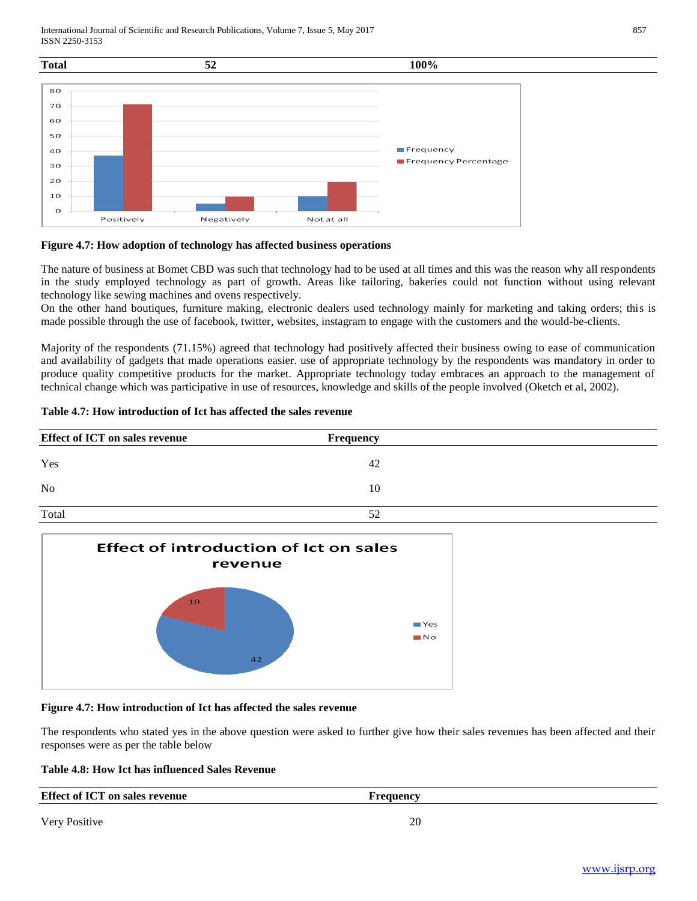International Journal of Scientific and Research Publications, Volume 7, Issue 5, May 2017 ISSN 2250-3153



#### **Figure 4.7: How adoption of technology has affected business operations**

The nature of business at Bomet CBD was such that technology had to be used at all times and this was the reason why all respondents in the study employed technology as part of growth. Areas like tailoring, bakeries could not function without using relevant technology like sewing machines and ovens respectively.

On the other hand boutiques, furniture making, electronic dealers used technology mainly for marketing and taking orders; this is made possible through the use of facebook, twitter, websites, instagram to engage with the customers and the would-be-clients.

Majority of the respondents (71.15%) agreed that technology had positively affected their business owing to ease of communication and availability of gadgets that made operations easier. use of appropriate technology by the respondents was mandatory in order to produce quality competitive products for the market. Appropriate technology today embraces an approach to the management of technical change which was participative in use of resources, knowledge and skills of the people involved (Oketch et al, 2002).

#### **Table 4.7: How introduction of Ict has affected the sales revenue**

| <b>Effect of ICT on sales revenue</b> | <b>Frequency</b> |
|---------------------------------------|------------------|
| Yes                                   | 42               |
| N <sub>o</sub>                        | 10               |
| Total                                 | 52               |



#### **Figure 4.7: How introduction of Ict has affected the sales revenue**

The respondents who stated yes in the above question were asked to further give how their sales revenues has been affected and their responses were as per the table below

#### **Table 4.8: How Ict has influenced Sales Revenue**

| <b>Effect of ICT on sales revenue</b> | Frequency |  |
|---------------------------------------|-----------|--|
|                                       |           |  |
| Very Positive                         | 20        |  |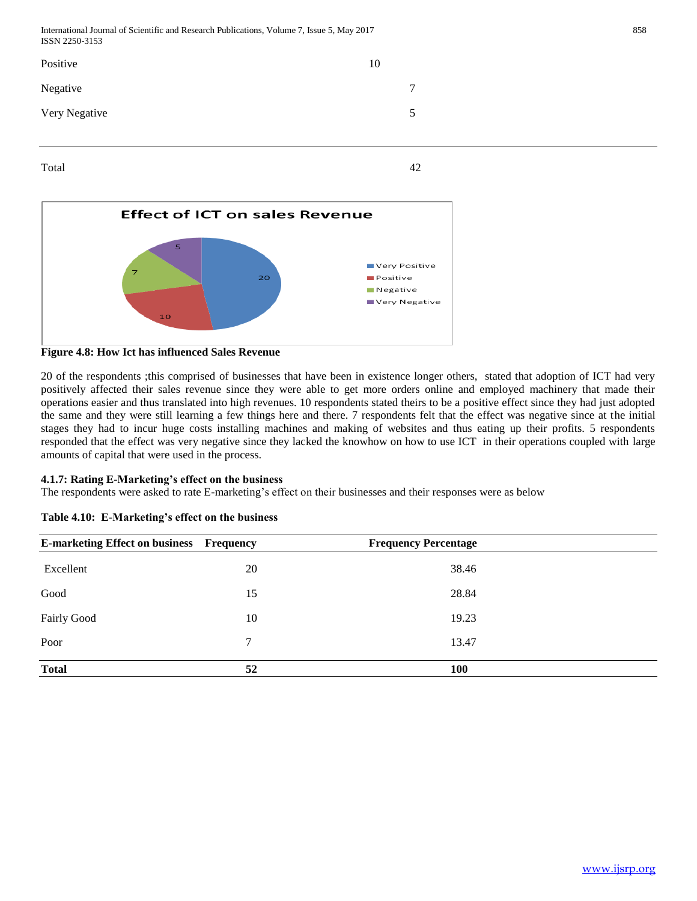| ISSN 2250-3153 |    |   |
|----------------|----|---|
| Positive       | 10 |   |
| Negative       |    | 7 |
| Very Negative  |    | 5 |
|                |    |   |







20 of the respondents ;this comprised of businesses that have been in existence longer others, stated that adoption of ICT had very positively affected their sales revenue since they were able to get more orders online and employed machinery that made their operations easier and thus translated into high revenues. 10 respondents stated theirs to be a positive effect since they had just adopted the same and they were still learning a few things here and there. 7 respondents felt that the effect was negative since at the initial stages they had to incur huge costs installing machines and making of websites and thus eating up their profits. 5 respondents responded that the effect was very negative since they lacked the knowhow on how to use ICT in their operations coupled with large amounts of capital that were used in the process.

## **4.1.7: Rating E-Marketing's effect on the business**

The respondents were asked to rate E-marketing's effect on their businesses and their responses were as below

| <b>E-marketing Effect on business Frequency</b> |    | <b>Frequency Percentage</b> |  |
|-------------------------------------------------|----|-----------------------------|--|
| Excellent                                       | 20 | 38.46                       |  |
| Good                                            | 15 | 28.84                       |  |
| <b>Fairly Good</b>                              | 10 | 19.23                       |  |
| Poor                                            | 7  | 13.47                       |  |
| <b>Total</b>                                    | 52 | <b>100</b>                  |  |

## **Table 4.10: E-Marketing's effect on the business**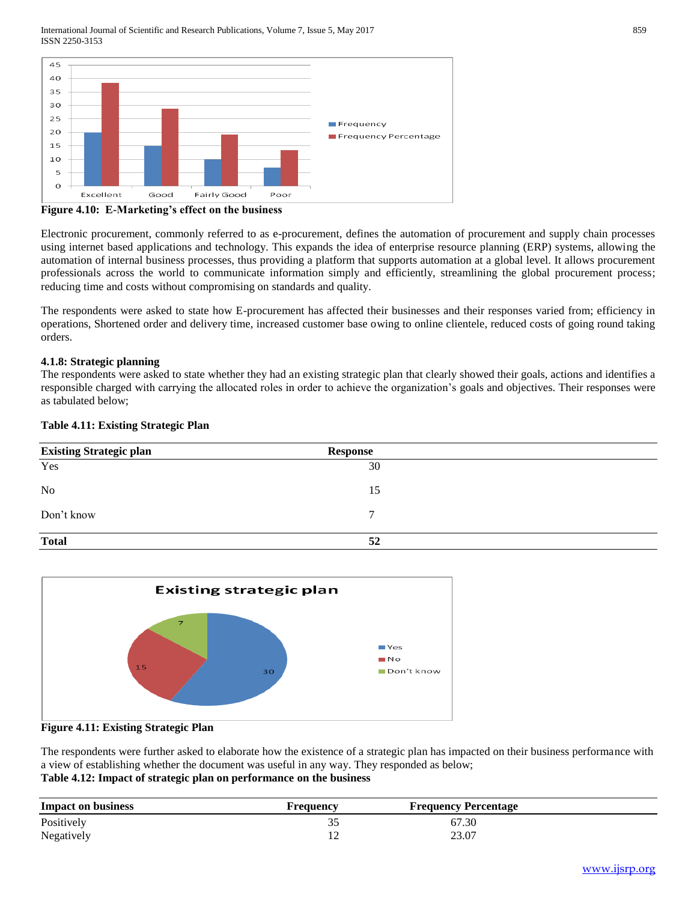International Journal of Scientific and Research Publications, Volume 7, Issue 5, May 2017 859 ISSN 2250-3153



**Figure 4.10: E-Marketing's effect on the business**

Electronic procurement, commonly referred to as e-procurement, defines the automation of procurement and supply chain processes using internet based applications and technology. This expands the idea of enterprise resource planning (ERP) systems, allowing the automation of internal business processes, thus providing a platform that supports automation at a global level. It allows procurement professionals across the world to communicate information simply and efficiently, streamlining the global procurement process; reducing time and costs without compromising on standards and quality.

The respondents were asked to state how E-procurement has affected their businesses and their responses varied from; efficiency in operations, Shortened order and delivery time, increased customer base owing to online clientele, reduced costs of going round taking orders.

#### **4.1.8: Strategic planning**

The respondents were asked to state whether they had an existing strategic plan that clearly showed their goals, actions and identifies a responsible charged with carrying the allocated roles in order to achieve the organization's goals and objectives. Their responses were as tabulated below;





#### **Figure 4.11: Existing Strategic Plan**

The respondents were further asked to elaborate how the existence of a strategic plan has impacted on their business performance with a view of establishing whether the document was useful in any way. They responded as below; **Table 4.12: Impact of strategic plan on performance on the business** 

| <b>Impact on business</b> | requency ' | <b>Frequency Percentage</b> |  |
|---------------------------|------------|-----------------------------|--|
| Positively                | ັ          | 67.30                       |  |
| Negatively                | ∸          | 23.07                       |  |

## **Table 4.11: Existing Strategic Plan**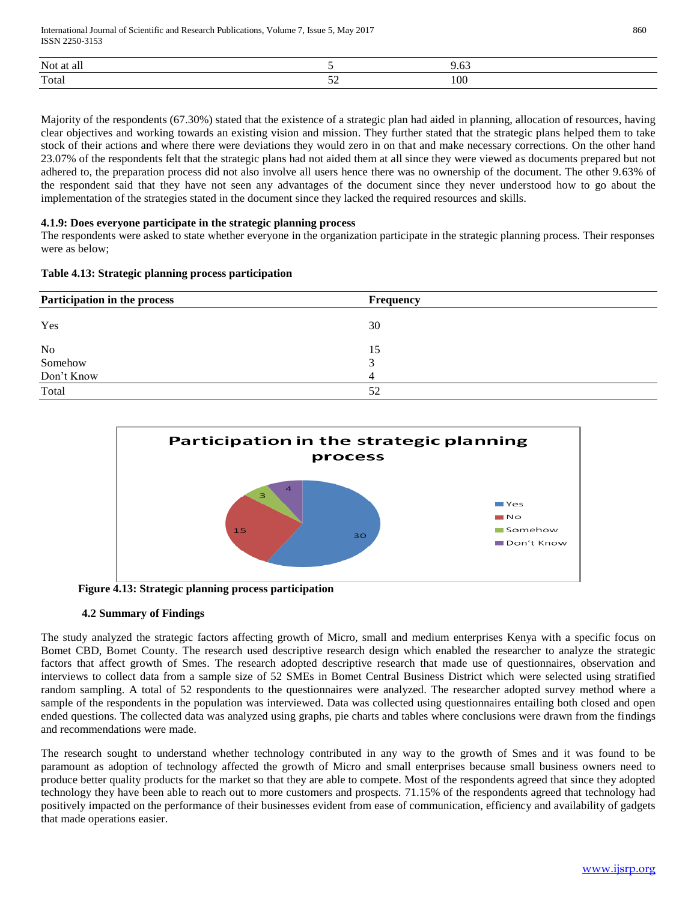| <b>Not</b><br>-al |                     |     |
|-------------------|---------------------|-----|
| Total             | - -<br>--<br>$\sim$ | 100 |

Majority of the respondents (67.30%) stated that the existence of a strategic plan had aided in planning, allocation of resources, having clear objectives and working towards an existing vision and mission. They further stated that the strategic plans helped them to take stock of their actions and where there were deviations they would zero in on that and make necessary corrections. On the other hand 23.07% of the respondents felt that the strategic plans had not aided them at all since they were viewed as documents prepared but not adhered to, the preparation process did not also involve all users hence there was no ownership of the document. The other 9.63% of the respondent said that they have not seen any advantages of the document since they never understood how to go about the implementation of the strategies stated in the document since they lacked the required resources and skills.

#### **4.1.9: Does everyone participate in the strategic planning process**

The respondents were asked to state whether everyone in the organization participate in the strategic planning process. Their responses were as below;

|  |  | Table 4.13: Strategic planning process participation |
|--|--|------------------------------------------------------|
|  |  |                                                      |

| Participation in the process | <b>Frequency</b> |
|------------------------------|------------------|
| Yes                          | 30               |
| No                           | 15               |
| Somehow                      |                  |
| Don't Know                   |                  |
| Total                        | 52               |



 **Figure 4.13: Strategic planning process participation**

#### **4.2 Summary of Findings**

The study analyzed the strategic factors affecting growth of Micro, small and medium enterprises Kenya with a specific focus on Bomet CBD, Bomet County. The research used descriptive research design which enabled the researcher to analyze the strategic factors that affect growth of Smes. The research adopted descriptive research that made use of questionnaires, observation and interviews to collect data from a sample size of 52 SMEs in Bomet Central Business District which were selected using stratified random sampling. A total of 52 respondents to the questionnaires were analyzed. The researcher adopted survey method where a sample of the respondents in the population was interviewed. Data was collected using questionnaires entailing both closed and open ended questions. The collected data was analyzed using graphs, pie charts and tables where conclusions were drawn from the findings and recommendations were made.

The research sought to understand whether technology contributed in any way to the growth of Smes and it was found to be paramount as adoption of technology affected the growth of Micro and small enterprises because small business owners need to produce better quality products for the market so that they are able to compete. Most of the respondents agreed that since they adopted technology they have been able to reach out to more customers and prospects. 71.15% of the respondents agreed that technology had positively impacted on the performance of their businesses evident from ease of communication, efficiency and availability of gadgets that made operations easier.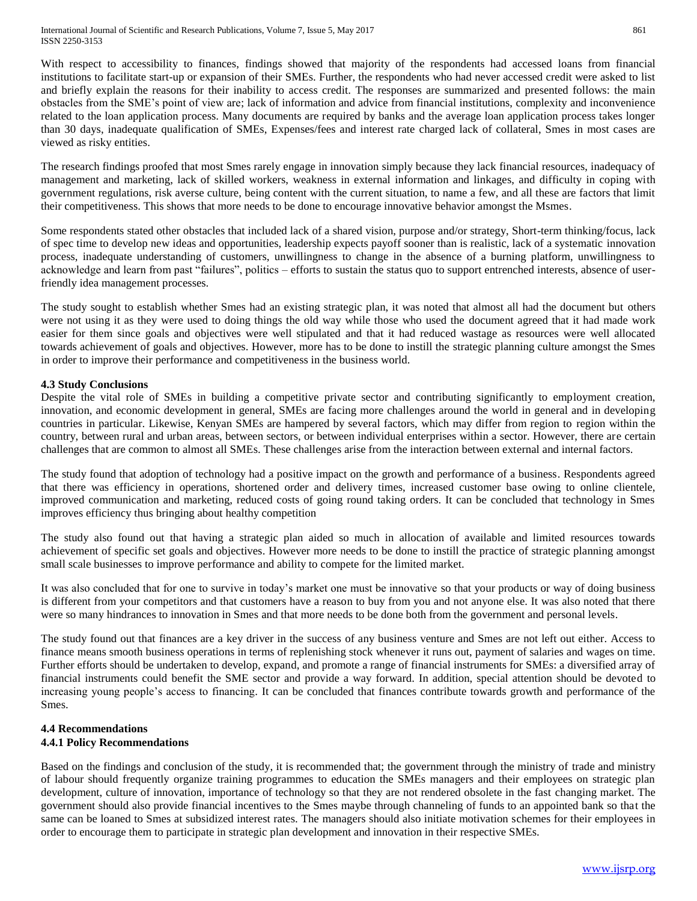With respect to accessibility to finances, findings showed that majority of the respondents had accessed loans from financial institutions to facilitate start-up or expansion of their SMEs. Further, the respondents who had never accessed credit were asked to list and briefly explain the reasons for their inability to access credit. The responses are summarized and presented follows: the main obstacles from the SME's point of view are; lack of information and advice from financial institutions, complexity and inconvenience related to the loan application process. Many documents are required by banks and the average loan application process takes longer than 30 days, inadequate qualification of SMEs, Expenses/fees and interest rate charged lack of collateral, Smes in most cases are viewed as risky entities.

The research findings proofed that most Smes rarely engage in innovation simply because they lack financial resources, inadequacy of management and marketing, lack of skilled workers, weakness in external information and linkages, and difficulty in coping with government regulations, risk averse culture, being content with the current situation, to name a few, and all these are factors that limit their competitiveness. This shows that more needs to be done to encourage innovative behavior amongst the Msmes.

Some respondents stated other obstacles that included lack of a shared vision, purpose and/or strategy, Short-term thinking/focus, lack of spec time to develop new ideas and opportunities, leadership expects payoff sooner than is realistic, lack of a systematic innovation process, inadequate understanding of customers, unwillingness to change in the absence of a burning platform, unwillingness to acknowledge and learn from past "failures", politics – efforts to sustain the status quo to support entrenched interests, absence of userfriendly idea management processes.

The study sought to establish whether Smes had an existing strategic plan, it was noted that almost all had the document but others were not using it as they were used to doing things the old way while those who used the document agreed that it had made work easier for them since goals and objectives were well stipulated and that it had reduced wastage as resources were well allocated towards achievement of goals and objectives. However, more has to be done to instill the strategic planning culture amongst the Smes in order to improve their performance and competitiveness in the business world.

### **4.3 Study Conclusions**

Despite the vital role of SMEs in building a competitive private sector and contributing significantly to employment creation, innovation, and economic development in general, SMEs are facing more challenges around the world in general and in developing countries in particular. Likewise, Kenyan SMEs are hampered by several factors, which may differ from region to region within the country, between rural and urban areas, between sectors, or between individual enterprises within a sector. However, there are certain challenges that are common to almost all SMEs. These challenges arise from the interaction between external and internal factors.

The study found that adoption of technology had a positive impact on the growth and performance of a business. Respondents agreed that there was efficiency in operations, shortened order and delivery times, increased customer base owing to online clientele, improved communication and marketing, reduced costs of going round taking orders. It can be concluded that technology in Smes improves efficiency thus bringing about healthy competition

The study also found out that having a strategic plan aided so much in allocation of available and limited resources towards achievement of specific set goals and objectives. However more needs to be done to instill the practice of strategic planning amongst small scale businesses to improve performance and ability to compete for the limited market.

It was also concluded that for one to survive in today's market one must be innovative so that your products or way of doing business is different from your competitors and that customers have a reason to buy from you and not anyone else. It was also noted that there were so many hindrances to innovation in Smes and that more needs to be done both from the government and personal levels.

The study found out that finances are a key driver in the success of any business venture and Smes are not left out either. Access to finance means smooth business operations in terms of replenishing stock whenever it runs out, payment of salaries and wages on time. Further efforts should be undertaken to develop, expand, and promote a range of financial instruments for SMEs: a diversified array of financial instruments could benefit the SME sector and provide a way forward. In addition, special attention should be devoted to increasing young people's access to financing. It can be concluded that finances contribute towards growth and performance of the Smes.

#### **4.4 Recommendations 4.4.1 Policy Recommendations**

Based on the findings and conclusion of the study, it is recommended that; the government through the ministry of trade and ministry of labour should frequently organize training programmes to education the SMEs managers and their employees on strategic plan development, culture of innovation, importance of technology so that they are not rendered obsolete in the fast changing market. The government should also provide financial incentives to the Smes maybe through channeling of funds to an appointed bank so that the same can be loaned to Smes at subsidized interest rates. The managers should also initiate motivation schemes for their employees in order to encourage them to participate in strategic plan development and innovation in their respective SMEs.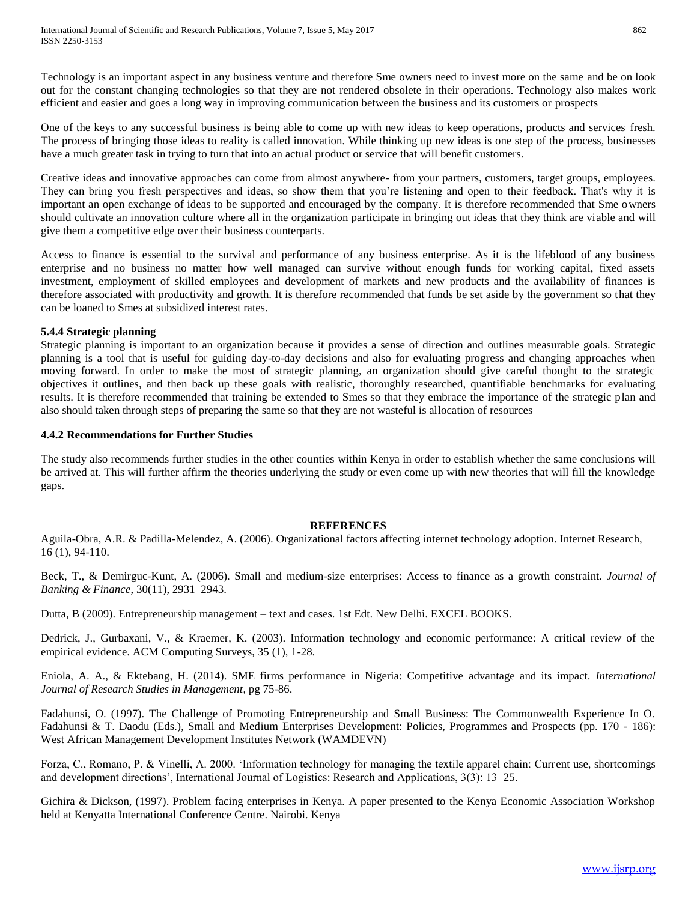Technology is an important aspect in any business venture and therefore Sme owners need to invest more on the same and be on look out for the constant changing technologies so that they are not rendered obsolete in their operations. Technology also makes work efficient and easier and goes a long way in improving communication between the business and its customers or prospects

One of the keys to any successful business is being able to come up with new ideas to keep operations, products and services fresh. The process of bringing those ideas to reality is called innovation. While thinking up new ideas is one step of the process, businesses have a much greater task in trying to turn that into an actual product or service that will benefit customers.

Creative ideas and innovative approaches can come from almost anywhere- from your partners, customers, target groups, employees. They can bring you fresh perspectives and ideas, so show them that you're listening and open to their feedback. That's why it is important an open exchange of ideas to be supported and encouraged by the company. It is therefore recommended that Sme owners should cultivate an innovation culture where all in the organization participate in bringing out ideas that they think are viable and will give them a competitive edge over their business counterparts.

Access to finance is essential to the survival and performance of any business enterprise. As it is the lifeblood of any business enterprise and no business no matter how well managed can survive without enough funds for working capital, fixed assets investment, employment of skilled employees and development of markets and new products and the availability of finances is therefore associated with productivity and growth. It is therefore recommended that funds be set aside by the government so that they can be loaned to Smes at subsidized interest rates.

#### **5.4.4 Strategic planning**

Strategic planning is important to an organization because it provides a sense of direction and outlines measurable goals. Strategic planning is a tool that is useful for guiding day-to-day decisions and also for evaluating progress and changing approaches when moving forward. In order to make the most of strategic planning, an organization should give careful thought to the strategic objectives it outlines, and then back up these goals with realistic, thoroughly researched, quantifiable benchmarks for evaluating results. It is therefore recommended that training be extended to Smes so that they embrace the importance of the strategic plan and also should taken through steps of preparing the same so that they are not wasteful is allocation of resources

#### **4.4.2 Recommendations for Further Studies**

The study also recommends further studies in the other counties within Kenya in order to establish whether the same conclusions will be arrived at. This will further affirm the theories underlying the study or even come up with new theories that will fill the knowledge gaps.

#### **REFERENCES**

Aguila-Obra, A.R. & Padilla-Melendez, A. (2006). Organizational factors affecting internet technology adoption. Internet Research, 16 (1), 94-110.

Beck, T., & Demirguc-Kunt, A. (2006). Small and medium-size enterprises: Access to finance as a growth constraint. *Journal of Banking & Finance*, 30(11), 2931–2943.

Dutta, B (2009). Entrepreneurship management – text and cases. 1st Edt. New Delhi. EXCEL BOOKS.

Dedrick, J., Gurbaxani, V., & Kraemer, K. (2003). Information technology and economic performance: A critical review of the empirical evidence. ACM Computing Surveys, 35 (1), 1-28.

Eniola, A. A., & Ektebang, H. (2014). SME firms performance in Nigeria: Competitive advantage and its impact. *International Journal of Research Studies in Management*, pg 75-86.

Fadahunsi, O. (1997). The Challenge of Promoting Entrepreneurship and Small Business: The Commonwealth Experience In O. Fadahunsi & T. Daodu (Eds.), Small and Medium Enterprises Development: Policies, Programmes and Prospects (pp. 170 - 186): West African Management Development Institutes Network (WAMDEVN)

Forza, C., Romano, P. & Vinelli, A. 2000. 'Information technology for managing the textile apparel chain: Current use, shortcomings and development directions', International Journal of Logistics: Research and Applications, 3(3): 13–25.

Gichira & Dickson, (1997). Problem facing enterprises in Kenya. A paper presented to the Kenya Economic Association Workshop held at Kenyatta International Conference Centre. Nairobi. Kenya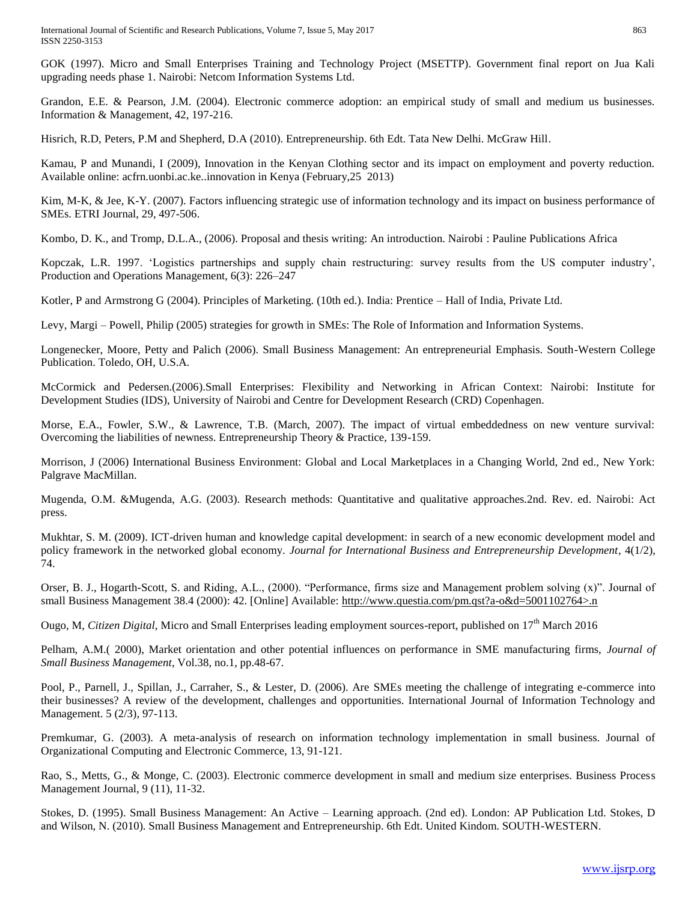International Journal of Scientific and Research Publications, Volume 7, Issue 5, May 2017 863 ISSN 2250-3153

GOK (1997). Micro and Small Enterprises Training and Technology Project (MSETTP). Government final report on Jua Kali upgrading needs phase 1. Nairobi: Netcom Information Systems Ltd.

Grandon, E.E. & Pearson, J.M. (2004). Electronic commerce adoption: an empirical study of small and medium us businesses. Information & Management, 42, 197-216.

Hisrich, R.D, Peters, P.M and Shepherd, D.A (2010). Entrepreneurship. 6th Edt. Tata New Delhi. McGraw Hill.

Kamau, P and Munandi, I (2009), Innovation in the Kenyan Clothing sector and its impact on employment and poverty reduction. Available online: acfrn.uonbi.ac.ke..innovation in Kenya (February,25 2013)

Kim, M-K, & Jee, K-Y. (2007). Factors influencing strategic use of information technology and its impact on business performance of SMEs. ETRI Journal, 29, 497-506.

Kombo, D. K., and Tromp, D.L.A., (2006). Proposal and thesis writing: An introduction. Nairobi : Pauline Publications Africa

Kopczak, L.R. 1997. 'Logistics partnerships and supply chain restructuring: survey results from the US computer industry', Production and Operations Management, 6(3): 226–247

Kotler, P and Armstrong G (2004). Principles of Marketing. (10th ed.). India: Prentice – Hall of India, Private Ltd.

Levy, Margi – Powell, Philip (2005) strategies for growth in SMEs: The Role of Information and Information Systems.

Longenecker, Moore, Petty and Palich (2006). Small Business Management: An entrepreneurial Emphasis. South-Western College Publication. Toledo, OH, U.S.A.

McCormick and Pedersen.(2006).Small Enterprises: Flexibility and Networking in African Context: Nairobi: Institute for Development Studies (IDS), University of Nairobi and Centre for Development Research (CRD) Copenhagen.

Morse, E.A., Fowler, S.W., & Lawrence, T.B. (March, 2007). The impact of virtual embeddedness on new venture survival: Overcoming the liabilities of newness. Entrepreneurship Theory & Practice, 139-159.

Morrison, J (2006) International Business Environment: Global and Local Marketplaces in a Changing World, 2nd ed., New York: Palgrave MacMillan.

Mugenda, O.M. &Mugenda, A.G. (2003). Research methods: Quantitative and qualitative approaches.2nd. Rev. ed. Nairobi: Act press.

Mukhtar, S. M. (2009). ICT-driven human and knowledge capital development: in search of a new economic development model and policy framework in the networked global economy. *Journal for International Business and Entrepreneurship Development*, 4(1/2), 74.

Orser, B. J., Hogarth-Scott, S. and Riding, A.L., (2000). "Performance, firms size and Management problem solving (x)". Journal of small Business Management 38.4 (2000): 42. [Online] Available: [http://www.questia.com/pm.qst?a-o&d=5001102764>.n](http://www.questia.com/pm.qst?a-o&d=5001102764%3e.n)

Ougo, M, *Citizen Digital*, Micro and Small Enterprises leading employment sources-report, published on 17<sup>th</sup> March 2016

Pelham, A.M.( 2000), Market orientation and other potential influences on performance in SME manufacturing firms, *Journal of Small Business Management*, Vol.38, no.1, pp.48-67.

Pool, P., Parnell, J., Spillan, J., Carraher, S., & Lester, D. (2006). Are SMEs meeting the challenge of integrating e-commerce into their businesses? A review of the development, challenges and opportunities. International Journal of Information Technology and Management. 5 (2/3), 97-113.

Premkumar, G. (2003). A meta-analysis of research on information technology implementation in small business. Journal of Organizational Computing and Electronic Commerce, 13, 91-121.

Rao, S., Metts, G., & Monge, C. (2003). Electronic commerce development in small and medium size enterprises. Business Process Management Journal, 9 (11), 11-32.

Stokes, D. (1995). Small Business Management: An Active – Learning approach. (2nd ed). London: AP Publication Ltd. Stokes, D and Wilson, N. (2010). Small Business Management and Entrepreneurship. 6th Edt. United Kindom. SOUTH-WESTERN.